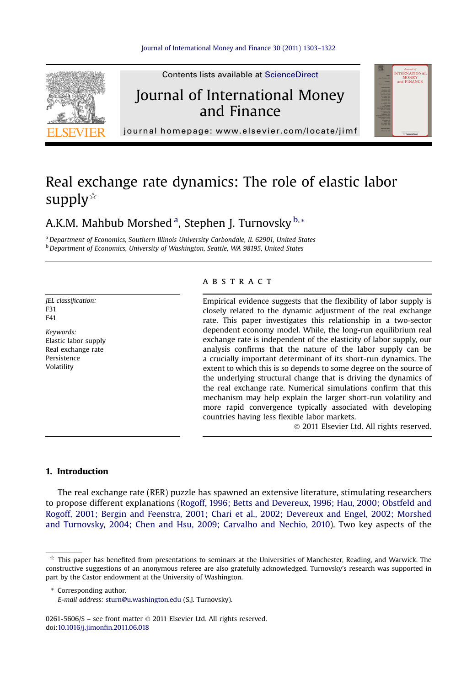

## Real exchange rate dynamics: The role of elastic labor supply $\overline{\mathbb{R}}$

### A.K.M. Mahbub Morshed <sup>a</sup>, Stephen J. Turnovsky <sup>b,</sup> \*

a Department of Economics, Southern Illinois University Carbondale, IL 62901, United States b Department of Economics, University of Washington, Seattle, WA 98195, United States

JEL classification: F31 F41

Keywords: Elastic labor supply Real exchange rate Persistence Volatility

#### **ABSTRACT**

Empirical evidence suggests that the flexibility of labor supply is closely related to the dynamic adjustment of the real exchange rate. This paper investigates this relationship in a two-sector dependent economy model. While, the long-run equilibrium real exchange rate is independent of the elasticity of labor supply, our analysis confirms that the nature of the labor supply can be a crucially important determinant of its short-run dynamics. The extent to which this is so depends to some degree on the source of the underlying structural change that is driving the dynamics of the real exchange rate. Numerical simulations confirm that this mechanism may help explain the larger short-run volatility and more rapid convergence typically associated with developing countries having less flexible labor markets.

2011 Elsevier Ltd. All rights reserved.

#### 1. Introduction

The real exchange rate (RER) puzzle has spawned an extensive literature, stimulating researchers to propose different explanations ([Rogoff, 1996; Betts and Devereux, 1996; Hau, 2000; Obstfeld and](#page--1-0) [Rogoff, 2001; Bergin and Feenstra, 2001; Chari et al., 2002; Devereux and Engel, 2002; Morshed](#page--1-0) [and Turnovsky, 2004; Chen and Hsu, 2009; Carvalho and Nechio, 2010](#page--1-0)). Two key aspects of the

\* Corresponding author.

0261-5606/\$ - see front matter © 2011 Elsevier Ltd. All rights reserved. doi[:10.1016/j.jimon](http://dx.doi.org/10.1016/j.jimonfin.2011.06.018)fin.2011.06.018

 $\dot{\pi}$  This paper has benefited from presentations to seminars at the Universities of Manchester, Reading, and Warwick. The constructive suggestions of an anonymous referee are also gratefully acknowledged. Turnovsky's research was supported in part by the Castor endowment at the University of Washington.

E-mail address: [sturn@u.washington.edu](mailto:sturn@u.washington.edu) (S.J. Turnovsky).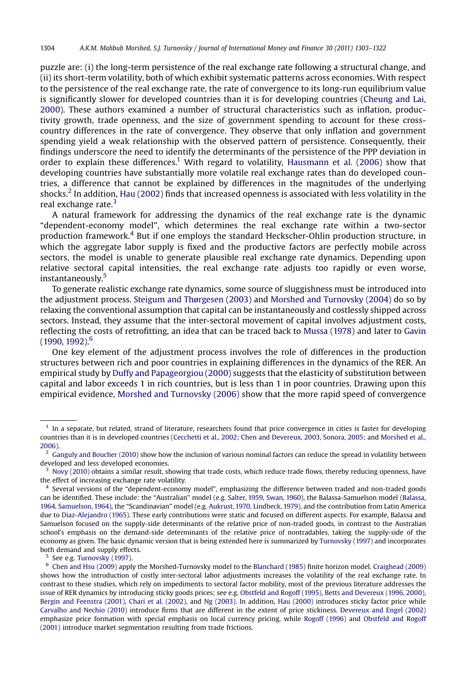puzzle are: (i) the long-term persistence of the real exchange rate following a structural change, and (ii) its short-term volatility, both of which exhibit systematic patterns across economies. With respect to the persistence of the real exchange rate, the rate of convergence to its long-run equilibrium value is significantly slower for developed countries than it is for developing countries ([Cheung and Lai,](#page--1-0) [2000\)](#page--1-0). These authors examined a number of structural characteristics such as inflation, productivity growth, trade openness, and the size of government spending to account for these crosscountry differences in the rate of convergence. They observe that only inflation and government spending yield a weak relationship with the observed pattern of persistence. Consequently, their findings underscore the need to identify the determinants of the persistence of the PPP deviation in order to explain these differences.<sup>1</sup> With regard to volatility, [Hausmann et al. \(2006\)](#page--1-0) show that developing countries have substantially more volatile real exchange rates than do developed countries, a difference that cannot be explained by differences in the magnitudes of the underlying shocks.<sup>2</sup> In addition, [Hau \(2002\)](#page--1-0) finds that increased openness is associated with less volatility in the real exchange rate.<sup>3</sup>

A natural framework for addressing the dynamics of the real exchange rate is the dynamic "dependent-economy model", which determines the real exchange rate within a two-sector production framework.<sup>4</sup> But if one employs the standard Heckscher-Ohlin production structure, in which the aggregate labor supply is fixed and the productive factors are perfectly mobile across sectors, the model is unable to generate plausible real exchange rate dynamics. Depending upon relative sectoral capital intensities, the real exchange rate adjusts too rapidly or even worse, instantaneously.<sup>5</sup>

To generate realistic exchange rate dynamics, some source of sluggishness must be introduced into the adjustment process. [Steigum and Thørgesen \(2003\)](#page--1-0) and [Morshed and Turnovsky \(2004\)](#page--1-0) do so by relaxing the conventional assumption that capital can be instantaneously and costlessly shipped across sectors. Instead, they assume that the inter-sectoral movement of capital involves adjustment costs, reflecting the costs of retrofitting, an idea that can be traced back to [Mussa \(1978\)](#page--1-0) and later to [Gavin](#page--1-0) [\(1990, 1992\).](#page--1-0) 6

One key element of the adjustment process involves the role of differences in the production structures between rich and poor countries in explaining differences in the dynamics of the RER. An empirical study by [Duffy and Papageorgiou \(2000\)](#page--1-0) suggests that the elasticity of substitution between capital and labor exceeds 1 in rich countries, but is less than 1 in poor countries. Drawing upon this empirical evidence, [Morshed and Turnovsky \(2006\)](#page--1-0) show that the more rapid speed of convergence

<sup>5</sup> See e.g. [Turnovsky \(1997\).](#page--1-0)

<sup>6</sup> [Chen and Hsu \(2009\)](#page--1-0) apply the Morshed-Turnovsky model to the [Blanchard \(1985\)](#page--1-0) finite horizon model. [Craighead \(2009\)](#page--1-0) shows how the introduction of costly inter-sectoral labor adjustments increases the volatility of the real exchange rate. In contrast to these studies, which rely on impediments to sectoral factor mobility, most of the previous literature addresses the issue of RER dynamics by introducing sticky goods prices; see e.g. [Obstfeld and Rogoff \(1995\), Betts and Devereux \(1996, 2000\),](#page--1-0) [Bergin and Feenstra \(2001\), Chari et al. \(2002\)](#page--1-0), and [Ng \(2003\).](#page--1-0) In addition, [Hau \(2000\)](#page--1-0) introduces sticky factor price while [Carvalho and Nechio \(2010\)](#page--1-0) introduce firms that are different in the extent of price stickiness. [Devereux and Engel \(2002\)](#page--1-0) emphasize price formation with special emphasis on local currency pricing, while [Rogoff \(1996\)](#page--1-0) and [Obstfeld and Rogoff](#page--1-0) [\(2001\)](#page--1-0) introduce market segmentation resulting from trade frictions.

<sup>&</sup>lt;sup>1</sup> In a separate, but related, strand of literature, researchers found that price convergence in cities is faster for developing countries than it is in developed countries ([Cecchetti et al., 2002; Chen and Devereux, 2003, Sonora, 2005](#page--1-0); and [Morshed et al.,](#page--1-0) [2006](#page--1-0)).

 $2$  [Ganguly and Boucher \(2010\)](#page--1-0) show how the inclusion of various nominal factors can reduce the spread in volatility between developed and less developed economies.

[Novy \(2010\)](#page--1-0) obtains a similar result, showing that trade costs, which reduce trade flows, thereby reducing openness, have the effect of increasing exchange rate volatility.

<sup>4</sup> Several versions of the "dependent-economy model", emphasizing the difference between traded and non-traded goods can be identified. These include: the "Australian" model (e.g. [Salter, 1959, Swan, 1960](#page--1-0)), the Balassa-Samuelson model [\(Balassa,](#page--1-0) [1964, Samuelson, 1964](#page--1-0)), the "Scandinavian" model (e.g. [Aukrust, 1970, Lindbeck, 1979\)](#page--1-0), and the contribution from Latin America due to [Diaz-Alejandro \(1965\).](#page--1-0) These early contributions were static and focused on different aspects. For example, Balassa and Samuelson focused on the supply-side determinants of the relative price of non-traded goods, in contrast to the Australian school's emphasis on the demand-side determinants of the relative price of nontradables, taking the supply-side of the economy as given. The basic dynamic version that is being extended here is summarized by [Turnovsky \(1997\)](#page--1-0) and incorporates both demand and supply effects.